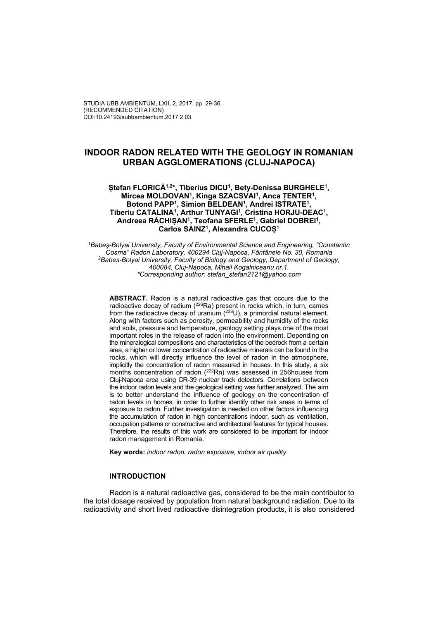# **INDOOR RADON RELATED WITH THE GEOLOGY IN ROMANIAN URBAN AGGLOMERATIONS (CLUJ-NAPOCA)**

## **Ștefan FLORICĂ1,2\*, Tiberius DICU1, Bety-Denissa BURGHELE1, Mircea MOLDOVAN1, Kinga SZACSVAI1, Anca ȚENTER1, Botond PAPP1, Simion BELDEAN1, Andrei ISTRATE1, Tiberiu CATALINA1, Arthur TUNYAGI1, Cristina HORJU-DEAC1, Andreea RĂCHIȘAN1, Teofana SFERLE1, Gabriel DOBREI1, Carlos SAINZ1, Alexandra CUCOȘ<sup>1</sup>**

*1Babeş-Bolyai University, Faculty of Environmental Science and Engineering, "Constantin Cosma" Radon Laboratory, 400294 Cluj-Napoca, Fântânele No. 30, Romania 2Babes-Bolyai University, Faculty of Biology and Geology, Department of Geology, 400084, Cluj-Napoca, Mihail Kogalniceanu nr.1. \*Corresponding author: stefan\_stefan2121@yahoo.com* 

**ABSTRACT.** Radon is a natural radioactive gas that occurs due to the radioactive decay of radium  $(^{226}Ra)$  present in rocks which, in turn, cames from the radioactive decay of uranium  $(^{238}U)$ , a primordial natural element. Along with factors such as porosity, permeability and humidity of the rocks and soils, pressure and temperature, geology setting plays one of the most important roles in the release of radon into the environment. Depending on the mineralogical compositions and characteristics of the bedrock from a certain area, a higher or lower concentration of radioactive minerals can be found in the rocks, which will directly influence the level of radon in the atmosphere, implicitly the concentration of radon measured in houses. In this study, a six months concentration of radon (<sup>222</sup>Rn) was assessed in 256 houses from Cluj-Napoca area using CR-39 nuclear track detectors. Correlations between the indoor radon levels and the geological setting was further analyzed. The aim is to better understand the influence of geology on the concentration of radon levels in homes, in order to further identify other risk areas in terms of exposure to radon. Further investigation is needed on other factors influencing the accumulation of radon in high concentrations indoor, such as ventilation, occupation patterns or constructive and architectural features for typical houses. Therefore, the results of this work are considered to be important for indoor radon management in Romania.

**Key words:** *indoor radon, radon exposure, indoor air quality* 

## **INTRODUCTION**

Radon is a natural radioactive gas, considered to be the main contributor to the total dosage received by population from natural background radiation. Due to its radioactivity and short lived radioactive disintegration products, it is also considered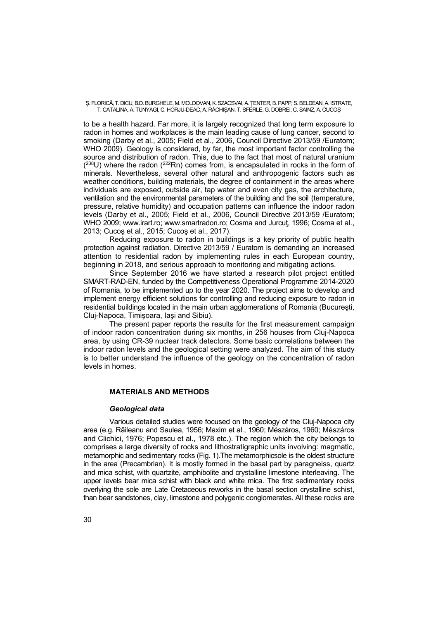Ș. FLORICĂ, T. DICU, B.D. BURGHELE, M. MOLDOVAN, K. SZACSVAI, A. ȚENTER, B. PAPP, S. BELDEAN, A. ISTRATE, T. CATALINA, A. TUNYAGI, C. HORJU-DEAC, A. RĂCHIȘAN, T. SFERLE, G. DOBREI, C. SAINZ, A. CUCOȘ

to be a health hazard. Far more, it is largely recognized that long term exposure to radon in homes and workplaces is the main leading cause of lung cancer, second to smoking (Darby et al., 2005; Field et al., 2006, Council Directive 2013/59 /Euratom; WHO 2009). Geology is considered, by far, the most important factor controlling the source and distribution of radon. This, due to the fact that most of natural uranium  $(2^{38}U)$  where the radon  $(2^{22}Rn)$  comes from, is encapsulated in rocks in the form of minerals. Nevertheless, several other natural and anthropogenic factors such as weather conditions, building materials, the degree of containment in the areas where individuals are exposed, outside air, tap water and even city gas, the architecture, ventilation and the environmental parameters of the building and the soil (temperature, pressure, relative humidity) and occupation patterns can influence the indoor radon levels (Darby et al., 2005; Field et al., 2006, Council Directive 2013/59 /Euratom; WHO 2009; www.irart.ro; www.smartradon.ro; Cosma and Jurcut, 1996; Cosma et al., 2013; Cucoş et al., 2015; Cucoş et al., 2017).

 Reducing exposure to radon in buildings is a key priority of public health protection against radiation. Directive 2013/59 / Euratom is demanding an increased attention to residential radon by implementing rules in each European country, beginning in 2018, and serious approach to monitoring and mitigating actions.

 Since September 2016 we have started a research pilot project entitled SMART-RAD-EN, funded by the Competitiveness Operational Programme 2014-2020 of Romania, to be implemented up to the year 2020. The project aims to develop and implement energy efficient solutions for controlling and reducing exposure to radon in residential buildings located in the main urban agglomerations of Romania (Bucureşti, Cluj-Napoca, Timişoara, Iaşi and Sibiu).

The present paper reports the results for the first measurement campaign of indoor radon concentration during six months, in 256 houses from Cluj-Napoca area, by using CR-39 nuclear track detectors. Some basic correlations between the indoor radon levels and the geological setting were analyzed. The aim of this study is to better understand the influence of the geology on the concentration of radon levels in homes.

# **MATERIALS AND METHODS**

## *Geological data*

Various detailed studies were focused on the geology of the Cluj-Napoca city area (e.g. Răileanu and Saulea, 1956; Maxim et al., 1960; Mészáros, 1960; Mészáros and Clichici, 1976; Popescu et al., 1978 etc.). The region which the city belongs to comprises a large diversity of rocks and lithostratigraphic units involving: magmatic, metamorphic and sedimentary rocks (Fig. 1).The metamorphicsole is the oldest structure in the area (Precambrian). It is mostly formed in the basal part by paragneiss, quartz and mica schist, with quartzite, amphibolite and crystalline limestone interleaving. The upper levels bear mica schist with black and white mica. The first sedimentary rocks overlying the sole are Late Cretaceous reworks in the basal section crystalline schist, than bear sandstones, clay, limestone and polygenic conglomerates. All these rocks are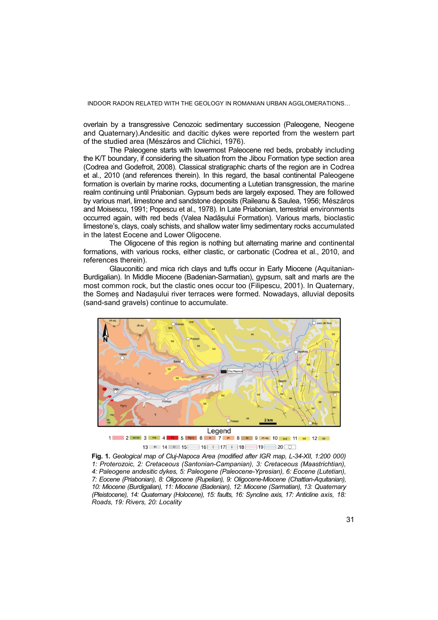INDOOR RADON RELATED WITH THE GEOLOGY IN ROMANIAN URBAN AGGLOMERATIONS…

overlain by a transgressive Cenozoic sedimentary succession (Paleogene, Neogene and Quaternary).Andesitic and dacitic dykes were reported from the western part of the studied area (Mészáros and Clichici, 1976).

The Paleogene starts with lowermost Paleocene red beds, probably including the K/T boundary, if considering the situation from the Jibou Formation type section area (Codrea and Godefroit, 2008). Classical stratigraphic charts of the region are in Codrea et al., 2010 (and references therein). In this regard, the basal continental Paleogene formation is overlain by marine rocks, documenting a Lutetian transgression, the marine realm continuing until Priabonian. Gypsum beds are largely exposed. They are followed by various marl, limestone and sandstone deposits (Raileanu & Saulea, 1956; Mészáros and Moisescu, 1991; Popescu et al., 1978). In Late Priabonian, terrestrial environments occurred again, with red beds (Valea Nadășului Formation). Various marls, bioclastic limestone's, clays, coaly schists, and shallow water limy sedimentary rocks accumulated in the latest Eocene and Lower Oligocene.

The Oligocene of this region is nothing but alternating marine and continental formations, with various rocks, either clastic, or carbonatic (Codrea et al., 2010, and references therein).

Glauconitic and mica rich clays and tuffs occur in Early Miocene (Aquitanian-Burdigalian). In Middle Miocene (Badenian-Sarmatian), gypsum, salt and marls are the most common rock, but the clastic ones occur too (Filipescu, 2001). In Quaternary, the Someș and Nadașului river terraces were formed. Nowadays, alluvial deposits (sand-sand gravels) continue to accumulate.



13 PI 14 H 15 16 17 18 19 20 0

**Fig. 1.** *Geological map of Cluj-Napoca Area (modified after IGR map, L-34-XII, 1:200 000) 1: Proterozoic, 2: Cretaceous (Santonian-Campanian), 3: Cretaceous (Maastrichtian), 4: Paleogene andesitic dykes, 5: Paleogene (Paleocene-Ypresian), 6: Eocene (Lutetian), 7: Eocene (Priabonian), 8: Oligocene (Rupelian), 9: Oligocene-Miocene (Chattian-Aquitanian), 10: Miocene (Burdigalian), 11: Miocene (Badenian), 12: Miocene (Sarmatian), 13: Quaternary (Pleistocene), 14: Quaternary (Holocene), 15: faults, 16: Syncline axis, 17: Anticline axis, 18: Roads, 19: Rivers, 20: Locality*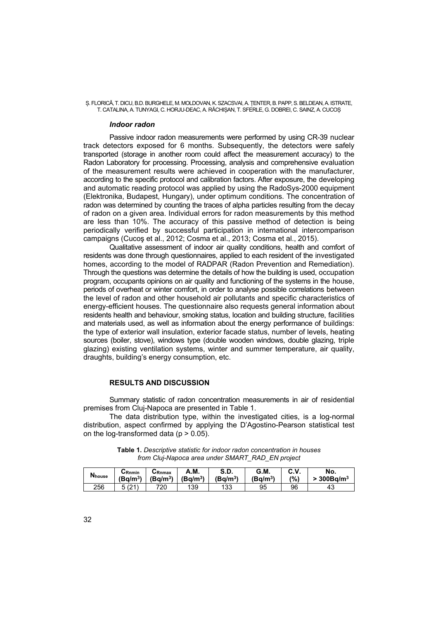Ș. FLORICĂ, T. DICU, B.D. BURGHELE, M. MOLDOVAN, K. SZACSVAI, A. ȚENTER, B. PAPP, S. BELDEAN, A. ISTRATE, T. CATALINA, A. TUNYAGI, C. HORJU-DEAC, A. RĂCHIȘAN, T. SFERLE, G. DOBREI, C. SAINZ, A. CUCOȘ

#### *Indoor radon*

Passive indoor radon measurements were performed by using CR-39 nuclear track detectors exposed for 6 months. Subsequently, the detectors were safely transported (storage in another room could affect the measurement accuracy) to the Radon Laboratory for processing. Processing, analysis and comprehensive evaluation of the measurement results were achieved in cooperation with the manufacturer, according to the specific protocol and calibration factors. After exposure, the developing and automatic reading protocol was applied by using the RadoSys-2000 equipment (Elektronika, Budapest, Hungary), under optimum conditions. The concentration of radon was determined by counting the traces of alpha particles resulting from the decay of radon on a given area. Individual errors for radon measurements by this method are less than 10%. The accuracy of this passive method of detection is being periodically verified by successful participation in international intercomparison campaigns (Cucoş et al., 2012; Cosma et al., 2013; Cosma et al., 2015).

Qualitative assessment of indoor air quality conditions, health and comfort of residents was done through questionnaires, applied to each resident of the investigated homes, according to the model of RADPAR (Radon Prevention and Remediation). Through the questions was determine the details of how the building is used, occupation program, occupants opinions on air quality and functioning of the systems in the house, periods of overheat or winter comfort, in order to analyse possible correlations between the level of radon and other household air pollutants and specific characteristics of energy-efficient houses. The questionnaire also requests general information about residents health and behaviour, smoking status, location and building structure, facilities and materials used, as well as information about the energy performance of buildings: the type of exterior wall insulation, exterior facade status, number of levels, heating sources (boiler, stove), windows type (double wooden windows, double glazing, triple glazing) existing ventilation systems, winter and summer temperature, air quality, draughts, building's energy consumption, etc.

# **RESULTS AND DISCUSSION**

Summary statistic of radon concentration measurements in air of residential premises from Cluj-Napoca are presented in Table 1.

The data distribution type, within the investigated cities, is a log-normal distribution, aspect confirmed by applying the D'Agostino-Pearson statistical test on the log-transformed data ( $p > 0.05$ ).

| <b>N</b> house | CRnmin     | しRnmax     | А.М.                 | <b>S.D.</b>          | G.M.                 | C.V. | No.                     |
|----------------|------------|------------|----------------------|----------------------|----------------------|------|-------------------------|
|                | $(Bq/m^3)$ | $(Bq/m^3)$ | (Bq/m <sup>3</sup> ) | (Bq/m <sup>3</sup> ) | (Ba/m <sup>3</sup> ) | (%)  | $300$ Ba/m <sup>3</sup> |
| 256            | (21)       | 720        | 139                  | 133                  | 95                   | 96   | 43                      |

**Table 1.** *Descriptive statistic for indoor radon concentration in houses from Cluj-Napoca area under SMART\_RAD\_EN project*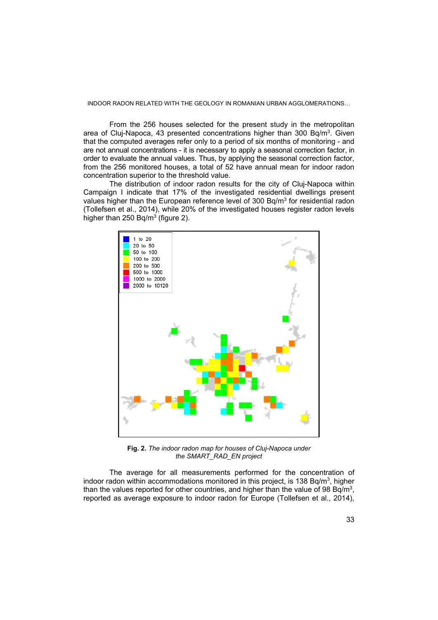From the 256 houses selected for the present study in the metropolitan area of Cluj-Napoca, 43 presented concentrations higher than 300 Bq/m<sup>3</sup>. Given that the computed averages refer only to a period of six months of monitoring - and are not annual concentrations - it is necessary to apply a seasonal correction factor, in order to evaluate the annual values. Thus, by applying the seasonal correction factor, from the 256 monitored houses, a total of 52 have annual mean for indoor radon concentration superior to the threshold value.

The distribution of indoor radon results for the city of Cluj-Napoca within Campaign I indicate that 17% of the investigated residential dwellings present values higher than the European reference level of  $300$  Bg/m<sup>3</sup> for residential radon (Tollefsen et al., 2014), while 20% of the investigated houses register radon levels higher than 250 Bg/ $m^3$  (figure 2).



**Fig. 2.** *The indoor radon map for houses of Cluj-Napoca under the SMART\_RAD\_EN project* 

The average for all measurements performed for the concentration of indoor radon within accommodations monitored in this project, is 138 Bq/m<sup>3</sup>, higher than the values reported for other countries, and higher than the value of 98  $Bq/m<sup>3</sup>$ , reported as average exposure to indoor radon for Europe (Tollefsen et al., 2014),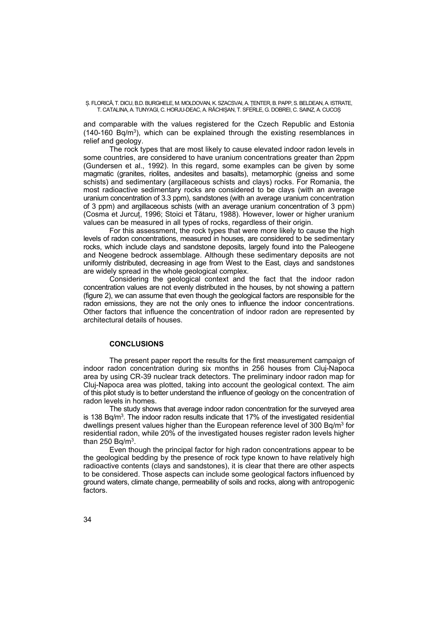Ș. FLORICĂ, T. DICU, B.D. BURGHELE, M. MOLDOVAN, K. SZACSVAI, A. ȚENTER, B. PAPP, S. BELDEAN, A. ISTRATE, T. CATALINA, A. TUNYAGI, C. HORJU-DEAC, A. RĂCHIȘAN, T. SFERLE, G. DOBREI, C. SAINZ, A. CUCOȘ

and comparable with the values registered for the Czech Republic and Estonia  $(140-160 \text{ Bq/m}^3)$ , which can be explained through the existing resemblances in relief and geology.

The rock types that are most likely to cause elevated indoor radon levels in some countries, are considered to have uranium concentrations greater than 2ppm (Gundersen et al., 1992). In this regard, some examples can be given by some magmatic (granites, riolites, andesites and basalts), metamorphic (gneiss and some schists) and sedimentary (argillaceous schists and clays) rocks. For Romania, the most radioactive sedimentary rocks are considered to be clays (with an average uranium concentration of 3.3 ppm), sandstones (with an average uranium concentration of 3 ppm) and argillaceous schists (with an average uranium concentration of 3 ppm) (Cosma et Jurcuț, 1996; Stoici et Tătaru, 1988). However, lower or higher uranium values can be measured in all types of rocks, regardless of their origin.

For this assessment, the rock types that were more likely to cause the high levels of radon concentrations, measured in houses, are considered to be sedimentary rocks, which include clays and sandstone deposits, largely found into the Paleogene and Neogene bedrock assemblage. Although these sedimentary deposits are not uniformly distributed, decreasing in age from West to the East, clays and sandstones are widely spread in the whole geological complex.

Considering the geological context and the fact that the indoor radon concentration values are not evenly distributed in the houses, by not showing a pattern (figure 2), we can assume that even though the geological factors are responsible for the radon emissions, they are not the only ones to influence the indoor concentrations. Other factors that influence the concentration of indoor radon are represented by architectural details of houses.

# **CONCLUSIONS**

The present paper report the results for the first measurement campaign of indoor radon concentration during six months in 256 houses from Cluj-Napoca area by using CR-39 nuclear track detectors. The preliminary indoor radon map for Cluj-Napoca area was plotted, taking into account the geological context. The aim of this pilot study is to better understand the influence of geology on the concentration of radon levels in homes.

The study shows that average indoor radon concentration for the surveyed area is 138 Bq/m<sup>3</sup>. The indoor radon results indicate that 17% of the investigated residential dwellings present values higher than the European reference level of 300 Bg/m<sup>3</sup> for residential radon, while 20% of the investigated houses register radon levels higher than 250 Bg/ $m^3$ .

Even though the principal factor for high radon concentrations appear to be the geological bedding by the presence of rock type known to have relatively high radioactive contents (clays and sandstones), it is clear that there are other aspects to be considered. Those aspects can include some geological factors influenced by ground waters, climate change, permeability of soils and rocks, along with antropogenic factors.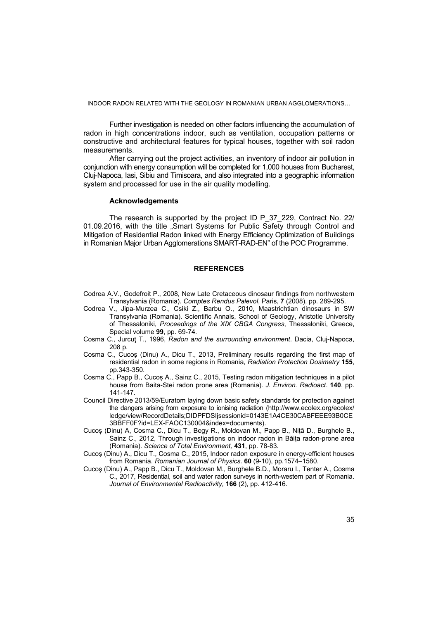INDOOR RADON RELATED WITH THE GEOLOGY IN ROMANIAN URBAN AGGLOMERATIONS…

Further investigation is needed on other factors influencing the accumulation of radon in high concentrations indoor, such as ventilation, occupation patterns or constructive and architectural features for typical houses, together with soil radon measurements.

After carrying out the project activities, an inventory of indoor air pollution in conjunction with energy consumption will be completed for 1,000 houses from Bucharest, Cluj-Napoca, Iasi, Sibiu and Timisoara, and also integrated into a geographic information system and processed for use in the air quality modelling.

#### **Acknowledgements**

The research is supported by the project ID P\_37\_229, Contract No. 22/ 01.09.2016, with the title "Smart Systems for Public Safety through Control and Mitigation of Residential Radon linked with Energy Efficiency Optimization of Buildings in Romanian Major Urban Agglomerations SMART-RAD-EN" of the POC Programme.

## **REFERENCES**

- Codrea A.V., Godefroit P., 2008, New Late Cretaceous dinosaur findings from northwestern Transylvania (Romania). *Comptes Rendus Palevol*, Paris, **7** (2008), pp. 289-295.
- Codrea V., Jipa-Murzea C., Csiki Z., Barbu O., 2010, Maastrichtian dinosaurs in SW Transylvania (Romania). Scientific Annals, School of Geology, Aristotle University of Thessaloniki, *Proceedings of the XIX CBGA Congress*, Thessaloniki, Greece, Special volume **99**, pp. 69-74.
- Cosma C., Jurcuţ T., 1996, *Radon and the surrounding environment*. Dacia, Cluj-Napoca, 208 p.
- Cosma C., Cucoş (Dinu) A., Dicu T., 2013, Preliminary results regarding the first map of residential radon in some regions in Romania, *Radiation Protection Dosimetry* **155**, pp.343-350.
- Cosma C., Papp B., Cucoș A., Sainz C., 2015, Testing radon mitigation techniques in a pilot house from Baita-Stei radon prone area (Romania). *J. Environ. Radioact*. **140**, pp. 141-147.
- Council Directive 2013/59/Euratom laying down basic safety standards for protection against the dangers arising from exposure to ionising radiation (http://www.ecolex.org/ecolex/ ledge/view/RecordDetails;DIDPFDSIjsessionid=0143E1A4CE30CABFEEE93B0CE 3BBFF0F?id=LEX-FAOC130004&index=documents).
- Cucoș (Dinu) A, Cosma C., Dicu T., Begy R., Moldovan M., Papp B., Niță D., Burghele B., Sainz C., 2012, Through investigations on indoor radon in Băița radon-prone area (Romania). *Science of Total Environment,* **431**, pp. 78-83.
- Cucoş (Dinu) A., Dicu T., Cosma C., 2015, Indoor radon exposure in energy-efficient houses from Romania. *Romanian Journal of Physics*. **60** (9-10), pp.1574–1580.
- Cucoş (Dinu) A., Papp B., Dicu T., Moldovan M., Burghele B.D., Moraru I., Tenter A., Cosma C., 2017, Residential, soil and water radon surveys in north-western part of Romania. *Journal of Environmental Radioactivity,* **166** (2), pp. 412-416.